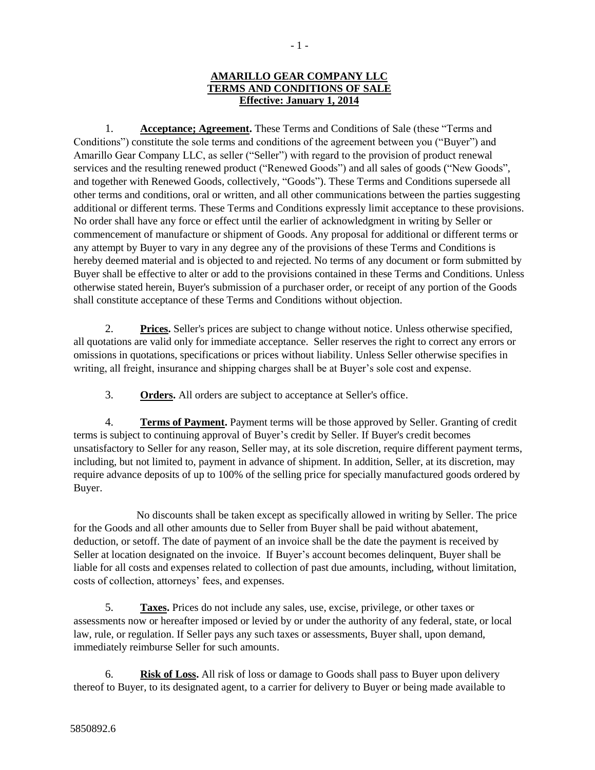## **AMARILLO GEAR COMPANY LLC TERMS AND CONDITIONS OF SALE Effective: January 1, 2014**

1. **Acceptance; Agreement.** These Terms and Conditions of Sale (these "Terms and Conditions") constitute the sole terms and conditions of the agreement between you ("Buyer") and Amarillo Gear Company LLC, as seller ("Seller") with regard to the provision of product renewal services and the resulting renewed product ("Renewed Goods") and all sales of goods ("New Goods", and together with Renewed Goods, collectively, "Goods"). These Terms and Conditions supersede all other terms and conditions, oral or written, and all other communications between the parties suggesting additional or different terms. These Terms and Conditions expressly limit acceptance to these provisions. No order shall have any force or effect until the earlier of acknowledgment in writing by Seller or commencement of manufacture or shipment of Goods. Any proposal for additional or different terms or any attempt by Buyer to vary in any degree any of the provisions of these Terms and Conditions is hereby deemed material and is objected to and rejected. No terms of any document or form submitted by Buyer shall be effective to alter or add to the provisions contained in these Terms and Conditions. Unless otherwise stated herein, Buyer's submission of a purchaser order, or receipt of any portion of the Goods shall constitute acceptance of these Terms and Conditions without objection.

2. **Prices.** Seller's prices are subject to change without notice. Unless otherwise specified, all quotations are valid only for immediate acceptance. Seller reserves the right to correct any errors or omissions in quotations, specifications or prices without liability. Unless Seller otherwise specifies in writing, all freight, insurance and shipping charges shall be at Buyer's sole cost and expense.

3. **Orders.** All orders are subject to acceptance at Seller's office.

4. **Terms of Payment.** Payment terms will be those approved by Seller. Granting of credit terms is subject to continuing approval of Buyer's credit by Seller. If Buyer's credit becomes unsatisfactory to Seller for any reason, Seller may, at its sole discretion, require different payment terms, including, but not limited to, payment in advance of shipment. In addition, Seller, at its discretion, may require advance deposits of up to 100% of the selling price for specially manufactured goods ordered by Buyer.

No discounts shall be taken except as specifically allowed in writing by Seller. The price for the Goods and all other amounts due to Seller from Buyer shall be paid without abatement, deduction, or setoff. The date of payment of an invoice shall be the date the payment is received by Seller at location designated on the invoice. If Buyer's account becomes delinquent, Buyer shall be liable for all costs and expenses related to collection of past due amounts, including, without limitation, costs of collection, attorneys' fees, and expenses.

5. **Taxes.** Prices do not include any sales, use, excise, privilege, or other taxes or assessments now or hereafter imposed or levied by or under the authority of any federal, state, or local law, rule, or regulation. If Seller pays any such taxes or assessments, Buyer shall, upon demand, immediately reimburse Seller for such amounts.

6. **Risk of Loss.** All risk of loss or damage to Goods shall pass to Buyer upon delivery thereof to Buyer, to its designated agent, to a carrier for delivery to Buyer or being made available to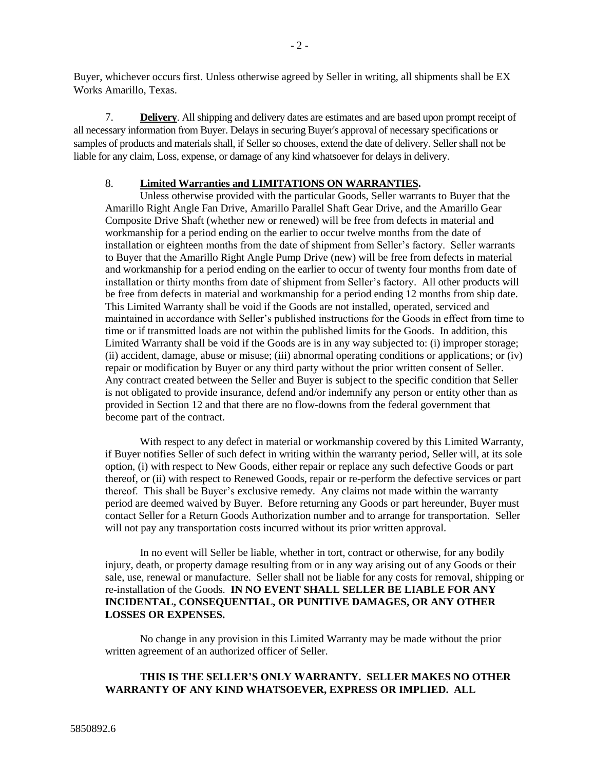Buyer, whichever occurs first. Unless otherwise agreed by Seller in writing, all shipments shall be EX Works Amarillo, Texas.

7. **Delivery**. All shipping and delivery dates are estimates and are based upon prompt receipt of all necessary information from Buyer. Delays in securing Buyer's approval of necessary specifications or samples of products and materials shall, if Seller so chooses, extend the date of delivery. Seller shall not be liable for any claim, Loss, expense, or damage of any kind whatsoever for delays in delivery.

## 8. **Limited Warranties and LIMITATIONS ON WARRANTIES.**

 Unless otherwise provided with the particular Goods, Seller warrants to Buyer that the Amarillo Right Angle Fan Drive, Amarillo Parallel Shaft Gear Drive, and the Amarillo Gear Composite Drive Shaft (whether new or renewed) will be free from defects in material and workmanship for a period ending on the earlier to occur twelve months from the date of installation or eighteen months from the date of shipment from Seller's factory. Seller warrants to Buyer that the Amarillo Right Angle Pump Drive (new) will be free from defects in material and workmanship for a period ending on the earlier to occur of twenty four months from date of installation or thirty months from date of shipment from Seller's factory. All other products will be free from defects in material and workmanship for a period ending 12 months from ship date. This Limited Warranty shall be void if the Goods are not installed, operated, serviced and maintained in accordance with Seller's published instructions for the Goods in effect from time to time or if transmitted loads are not within the published limits for the Goods. In addition, this Limited Warranty shall be void if the Goods are is in any way subjected to: (i) improper storage; (ii) accident, damage, abuse or misuse; (iii) abnormal operating conditions or applications; or (iv) repair or modification by Buyer or any third party without the prior written consent of Seller. Any contract created between the Seller and Buyer is subject to the specific condition that Seller is not obligated to provide insurance, defend and/or indemnify any person or entity other than as provided in Section 12 and that there are no flow-downs from the federal government that become part of the contract.

With respect to any defect in material or workmanship covered by this Limited Warranty, if Buyer notifies Seller of such defect in writing within the warranty period, Seller will, at its sole option, (i) with respect to New Goods, either repair or replace any such defective Goods or part thereof, or (ii) with respect to Renewed Goods, repair or re-perform the defective services or part thereof. This shall be Buyer's exclusive remedy. Any claims not made within the warranty period are deemed waived by Buyer. Before returning any Goods or part hereunder, Buyer must contact Seller for a Return Goods Authorization number and to arrange for transportation. Seller will not pay any transportation costs incurred without its prior written approval.

 In no event will Seller be liable, whether in tort, contract or otherwise, for any bodily injury, death, or property damage resulting from or in any way arising out of any Goods or their sale, use, renewal or manufacture. Seller shall not be liable for any costs for removal, shipping or re-installation of the Goods. **IN NO EVENT SHALL SELLER BE LIABLE FOR ANY INCIDENTAL, CONSEQUENTIAL, OR PUNITIVE DAMAGES, OR ANY OTHER LOSSES OR EXPENSES.**

 No change in any provision in this Limited Warranty may be made without the prior written agreement of an authorized officer of Seller.

## **THIS IS THE SELLER'S ONLY WARRANTY. SELLER MAKES NO OTHER WARRANTY OF ANY KIND WHATSOEVER, EXPRESS OR IMPLIED. ALL**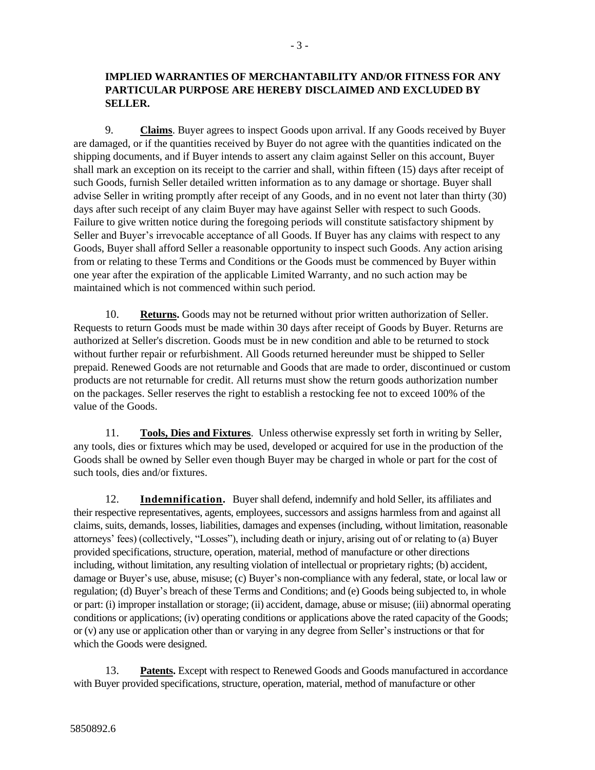## **IMPLIED WARRANTIES OF MERCHANTABILITY AND/OR FITNESS FOR ANY PARTICULAR PURPOSE ARE HEREBY DISCLAIMED AND EXCLUDED BY SELLER.**

9. **Claims**. Buyer agrees to inspect Goods upon arrival. If any Goods received by Buyer are damaged, or if the quantities received by Buyer do not agree with the quantities indicated on the shipping documents, and if Buyer intends to assert any claim against Seller on this account, Buyer shall mark an exception on its receipt to the carrier and shall, within fifteen (15) days after receipt of such Goods, furnish Seller detailed written information as to any damage or shortage. Buyer shall advise Seller in writing promptly after receipt of any Goods, and in no event not later than thirty (30) days after such receipt of any claim Buyer may have against Seller with respect to such Goods. Failure to give written notice during the foregoing periods will constitute satisfactory shipment by Seller and Buyer's irrevocable acceptance of all Goods. If Buyer has any claims with respect to any Goods, Buyer shall afford Seller a reasonable opportunity to inspect such Goods. Any action arising from or relating to these Terms and Conditions or the Goods must be commenced by Buyer within one year after the expiration of the applicable Limited Warranty, and no such action may be maintained which is not commenced within such period.

10. **Returns.** Goods may not be returned without prior written authorization of Seller. Requests to return Goods must be made within 30 days after receipt of Goods by Buyer. Returns are authorized at Seller's discretion. Goods must be in new condition and able to be returned to stock without further repair or refurbishment. All Goods returned hereunder must be shipped to Seller prepaid. Renewed Goods are not returnable and Goods that are made to order, discontinued or custom products are not returnable for credit. All returns must show the return goods authorization number on the packages. Seller reserves the right to establish a restocking fee not to exceed 100% of the value of the Goods.

11. **Tools, Dies and Fixtures**. Unless otherwise expressly set forth in writing by Seller, any tools, dies or fixtures which may be used, developed or acquired for use in the production of the Goods shall be owned by Seller even though Buyer may be charged in whole or part for the cost of such tools, dies and/or fixtures.

12. **Indemnification.** Buyer shall defend, indemnify and hold Seller, its affiliates and their respective representatives, agents, employees, successors and assigns harmless from and against all claims, suits, demands, losses, liabilities, damages and expenses (including, without limitation, reasonable attorneys' fees) (collectively, "Losses"), including death or injury, arising out of or relating to (a) Buyer provided specifications, structure, operation, material, method of manufacture or other directions including, without limitation, any resulting violation of intellectual or proprietary rights; (b) accident, damage or Buyer's use, abuse, misuse; (c) Buyer's non-compliance with any federal, state, or local law or regulation; (d) Buyer's breach of these Terms and Conditions; and (e) Goods being subjected to, in whole or part: (i) improper installation or storage; (ii) accident, damage, abuse or misuse; (iii) abnormal operating conditions or applications; (iv) operating conditions or applications above the rated capacity of the Goods; or (v) any use or application other than or varying in any degree from Seller's instructions or that for which the Goods were designed.

13. **Patents.** Except with respect to Renewed Goods and Goods manufactured in accordance with Buyer provided specifications, structure, operation, material, method of manufacture or other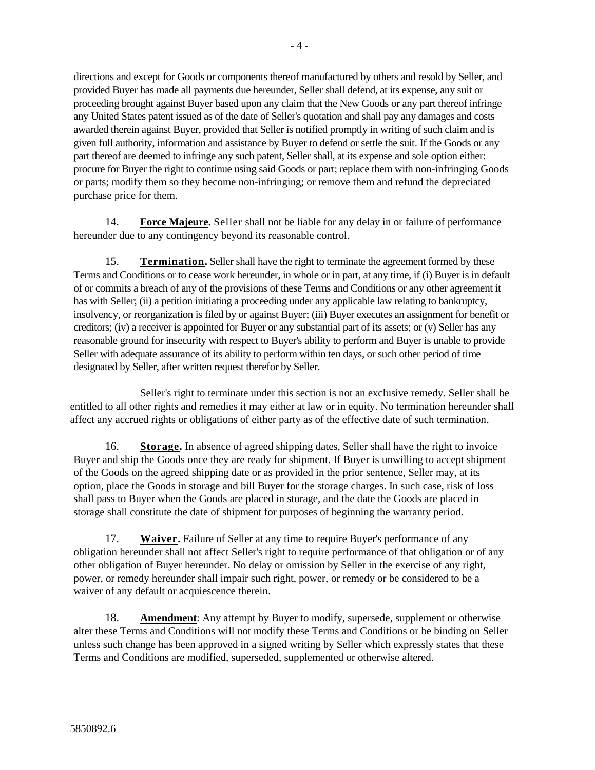directions and except for Goods or components thereof manufactured by others and resold by Seller, and provided Buyer has made all payments due hereunder, Seller shall defend, at its expense, any suit or proceeding brought against Buyer based upon any claim that the New Goods or any part thereof infringe any United States patent issued as of the date of Seller's quotation and shall pay any damages and costs awarded therein against Buyer, provided that Seller is notified promptly in writing of such claim and is given full authority, information and assistance by Buyer to defend or settle the suit. If the Goods or any part thereof are deemed to infringe any such patent, Seller shall, at its expense and sole option either: procure for Buyer the right to continue using said Goods or part; replace them with non-infringing Goods or parts; modify them so they become non-infringing; or remove them and refund the depreciated purchase price for them.

14. **Force Majeure.** Seller shall not be liable for any delay in or failure of performance hereunder due to any contingency beyond its reasonable control.

15. **Termination.** Seller shall have the right to terminate the agreement formed by these Terms and Conditions or to cease work hereunder, in whole or in part, at any time, if (i) Buyer is in default of or commits a breach of any of the provisions of these Terms and Conditions or any other agreement it has with Seller; (ii) a petition initiating a proceeding under any applicable law relating to bankruptcy, insolvency, or reorganization is filed by or against Buyer; (iii) Buyer executes an assignment for benefit or creditors; (iv) a receiver is appointed for Buyer or any substantial part of its assets; or (v) Seller has any reasonable ground for insecurity with respect to Buyer's ability to perform and Buyer is unable to provide Seller with adequate assurance of its ability to perform within ten days, or such other period of time designated by Seller, after written request therefor by Seller.

Seller's right to terminate under this section is not an exclusive remedy. Seller shall be entitled to all other rights and remedies it may either at law or in equity. No termination hereunder shall affect any accrued rights or obligations of either party as of the effective date of such termination.

16. **Storage.** In absence of agreed shipping dates, Seller shall have the right to invoice Buyer and ship the Goods once they are ready for shipment. If Buyer is unwilling to accept shipment of the Goods on the agreed shipping date or as provided in the prior sentence, Seller may, at its option, place the Goods in storage and bill Buyer for the storage charges. In such case, risk of loss shall pass to Buyer when the Goods are placed in storage, and the date the Goods are placed in storage shall constitute the date of shipment for purposes of beginning the warranty period.

17. **Waiver.** Failure of Seller at any time to require Buyer's performance of any obligation hereunder shall not affect Seller's right to require performance of that obligation or of any other obligation of Buyer hereunder. No delay or omission by Seller in the exercise of any right, power, or remedy hereunder shall impair such right, power, or remedy or be considered to be a waiver of any default or acquiescence therein.

18. **Amendment**: Any attempt by Buyer to modify, supersede, supplement or otherwise alter these Terms and Conditions will not modify these Terms and Conditions or be binding on Seller unless such change has been approved in a signed writing by Seller which expressly states that these Terms and Conditions are modified, superseded, supplemented or otherwise altered.